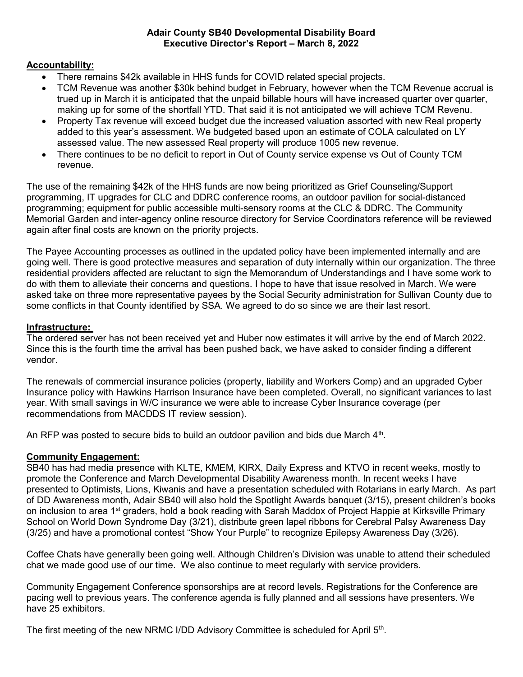#### Adair County SB40 Developmental Disability Board Executive Director's Report – March 8, 2022

# Accountability:

- There remains \$42k available in HHS funds for COVID related special projects.
- TCM Revenue was another \$30k behind budget in February, however when the TCM Revenue accrual is trued up in March it is anticipated that the unpaid billable hours will have increased quarter over quarter, making up for some of the shortfall YTD. That said it is not anticipated we will achieve TCM Revenu.
- Property Tax revenue will exceed budget due the increased valuation assorted with new Real property added to this year's assessment. We budgeted based upon an estimate of COLA calculated on LY assessed value. The new assessed Real property will produce 1005 new revenue.
- There continues to be no deficit to report in Out of County service expense vs Out of County TCM revenue.

The use of the remaining \$42k of the HHS funds are now being prioritized as Grief Counseling/Support programming, IT upgrades for CLC and DDRC conference rooms, an outdoor pavilion for social-distanced programming; equipment for public accessible multi-sensory rooms at the CLC & DDRC. The Community Memorial Garden and inter-agency online resource directory for Service Coordinators reference will be reviewed again after final costs are known on the priority projects.

The Payee Accounting processes as outlined in the updated policy have been implemented internally and are going well. There is good protective measures and separation of duty internally within our organization. The three residential providers affected are reluctant to sign the Memorandum of Understandings and I have some work to do with them to alleviate their concerns and questions. I hope to have that issue resolved in March. We were asked take on three more representative payees by the Social Security administration for Sullivan County due to some conflicts in that County identified by SSA. We agreed to do so since we are their last resort.

### Infrastructure:

The ordered server has not been received yet and Huber now estimates it will arrive by the end of March 2022. Since this is the fourth time the arrival has been pushed back, we have asked to consider finding a different vendor.

The renewals of commercial insurance policies (property, liability and Workers Comp) and an upgraded Cyber Insurance policy with Hawkins Harrison Insurance have been completed. Overall, no significant variances to last year. With small savings in W/C insurance we were able to increase Cyber Insurance coverage (per recommendations from MACDDS IT review session).

An RFP was posted to secure bids to build an outdoor pavilion and bids due March  $4<sup>th</sup>$ .

### Community Engagement:

SB40 has had media presence with KLTE, KMEM, KIRX, Daily Express and KTVO in recent weeks, mostly to promote the Conference and March Developmental Disability Awareness month. In recent weeks I have presented to Optimists, Lions, Kiwanis and have a presentation scheduled with Rotarians in early March. As part of DD Awareness month, Adair SB40 will also hold the Spotlight Awards banquet (3/15), present children's books on inclusion to area 1<sup>st</sup> graders, hold a book reading with Sarah Maddox of Project Happie at Kirksville Primary School on World Down Syndrome Day (3/21), distribute green lapel ribbons for Cerebral Palsy Awareness Day (3/25) and have a promotional contest "Show Your Purple" to recognize Epilepsy Awareness Day (3/26).

Coffee Chats have generally been going well. Although Children's Division was unable to attend their scheduled chat we made good use of our time. We also continue to meet regularly with service providers.

Community Engagement Conference sponsorships are at record levels. Registrations for the Conference are pacing well to previous years. The conference agenda is fully planned and all sessions have presenters. We have 25 exhibitors.

The first meeting of the new NRMC I/DD Advisory Committee is scheduled for April 5<sup>th</sup>.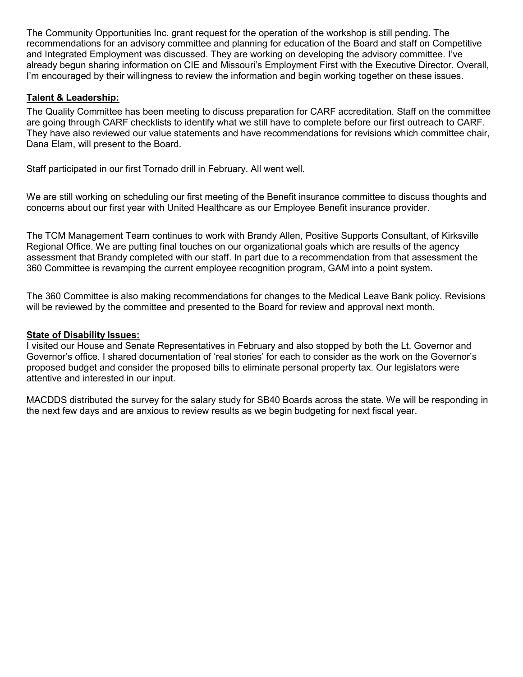The Community Opportunities Inc. grant request for the operation of the workshop is still pending. The recommendations for an advisory committee and planning for education of the Board and staff on Competitive and Integrated Employment was discussed. They are working on developing the advisory committee. I've already begun sharing information on CIE and Missouri's Employment First with the Executive Director. Overall, I'm encouraged by their willingness to review the information and begin working together on these issues.

# Talent & Leadership:

The Quality Committee has been meeting to discuss preparation for CARF accreditation. Staff on the committee are going through CARF checklists to identify what we still have to complete before our first outreach to CARF. They have also reviewed our value statements and have recommendations for revisions which committee chair, Dana Elam, will present to the Board.

Staff participated in our first Tornado drill in February. All went well.

We are still working on scheduling our first meeting of the Benefit insurance committee to discuss thoughts and concerns about our first year with United Healthcare as our Employee Benefit insurance provider.

The TCM Management Team continues to work with Brandy Allen, Positive Supports Consultant, of Kirksville Regional Office. We are putting final touches on our organizational goals which are results of the agency assessment that Brandy completed with our staff. In part due to a recommendation from that assessment the 360 Committee is revamping the current employee recognition program, GAM into a point system.

The 360 Committee is also making recommendations for changes to the Medical Leave Bank policy. Revisions will be reviewed by the committee and presented to the Board for review and approval next month.

### State of Disability Issues:

I visited our House and Senate Representatives in February and also stopped by both the Lt. Governor and Governor's office. I shared documentation of 'real stories' for each to consider as the work on the Governor's proposed budget and consider the proposed bills to eliminate personal property tax. Our legislators were attentive and interested in our input.

MACDDS distributed the survey for the salary study for SB40 Boards across the state. We will be responding in the next few days and are anxious to review results as we begin budgeting for next fiscal year.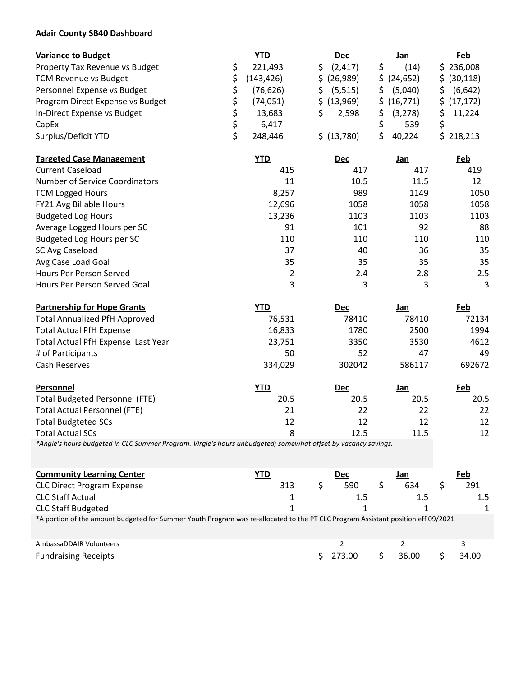### Adair County SB40 Dashboard

| <b>Variance to Budget</b>        | <b>YTD</b> | <b>Dec</b>  | Jan         |    | <u>Feb</u>   |
|----------------------------------|------------|-------------|-------------|----|--------------|
| Property Tax Revenue vs Budget   | 221,493    | (2, 417)    | (14)        |    | \$236,008    |
| <b>TCM Revenue vs Budget</b>     | (143, 426) | \$ (26,989) | \$ (24,652) |    | \$ (30, 118) |
| Personnel Expense vs Budget      | (76,626)   | (5, 515)    | (5,040)     | S. | (6, 642)     |
| Program Direct Expense vs Budget | (74,051)   | \$ (13,969) | \$ (16,771) |    | \$ (17, 172) |
| In-Direct Expense vs Budget      | 13,683     | 2,598       | (3, 278)    |    | 11,224       |
| CapEx                            | 6.417      |             | 539         |    |              |
| Surplus/Deficit YTD              | 248,446    | \$ (13,780) | 40,224      |    | \$218,213    |

| <b>Targeted Case Management</b> | YTD    | <b>Dec</b> | Jan  | Feb  |
|---------------------------------|--------|------------|------|------|
| <b>Current Caseload</b>         | 415    | 417        | 417  | 419  |
| Number of Service Coordinators  | 11     | 10.5       | 11.5 | 12   |
| <b>TCM Logged Hours</b>         | 8,257  | 989        | 1149 | 1050 |
| FY21 Avg Billable Hours         | 12,696 | 1058       | 1058 | 1058 |
| <b>Budgeted Log Hours</b>       | 13,236 | 1103       | 1103 | 1103 |
| Average Logged Hours per SC     | 91     | 101        | 92   | 88   |
| Budgeted Log Hours per SC       | 110    | 110        | 110  | 110  |
| SC Avg Caseload                 | 37     | 40         | 36   | 35   |
| Avg Case Load Goal              | 35     | 35         | 35   | 35   |
| Hours Per Person Served         | 2      | 2.4        | 2.8  | 2.5  |
| Hours Per Person Served Goal    | 3      | 3          | 3    | 3    |

| <b>Partnership for Hope Grants</b>    | <b>YTD</b> | <b>Dec</b> | Jan    | Feb    |
|---------------------------------------|------------|------------|--------|--------|
| <b>Total Annualized PfH Approved</b>  | 76,531     | 78410      | 78410  | 72134  |
| <b>Total Actual PfH Expense</b>       | 16,833     | 1780       | 2500   | 1994   |
| Total Actual PfH Expense Last Year    | 23,751     | 3350       | 3530   | 4612   |
| # of Participants                     | 50         | 52         | 47     | 49     |
| Cash Reserves                         | 334,029    | 302042     | 586117 | 692672 |
| Personnel                             | <b>YTD</b> | <b>Dec</b> | Jan    | Feb    |
| <b>Total Budgeted Personnel (FTE)</b> | 20.5       | 20.5       | 20.5   | 20.5   |
| <b>Total Actual Personnel (FTE)</b>   | 21         | 22         | 22     | 22     |
| <b>Total Budgteted SCs</b>            | 12         | 12         | 12     | 12     |
| <b>Total Actual SCs</b>               | 8          | 12.5       | 11.5   | 12     |

\*Angie's hours budgeted in CLC Summer Program. Virgie's hours unbudgeted; somewhat offset by vacancy savings.

| <b>Community Learning Center</b>                                                                                                 | YTD |  | <b>Dec</b> |  | Jan   |  | Feb     |
|----------------------------------------------------------------------------------------------------------------------------------|-----|--|------------|--|-------|--|---------|
| <b>CLC Direct Program Expense</b>                                                                                                | 313 |  | 590        |  | 634   |  | 291     |
| <b>CLC Staff Actual</b>                                                                                                          |     |  | 1.5        |  | 1.5   |  | $1.5\,$ |
| <b>CLC Staff Budgeted</b>                                                                                                        |     |  |            |  |       |  |         |
| *A portion of the amount budgeted for Summer Youth Program was re-allocated to the PT CLC Program Assistant position eff 09/2021 |     |  |            |  |       |  |         |
| AmbassaDDAIR Volunteers                                                                                                          |     |  |            |  |       |  |         |
| <b>Fundraising Receipts</b>                                                                                                      |     |  | 273.00     |  | 36.00 |  | 34.00   |